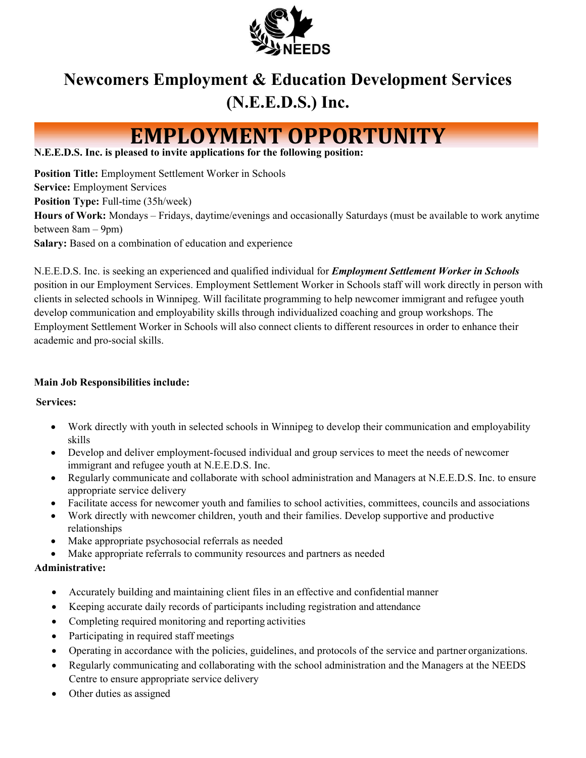

# **Newcomers Employment & Education Development Services (N.E.E.D.S.) Inc.**

# **EMPLOYMENT OPPORTUNITY**

### **N.E.E.D.S. Inc. is pleased to invite applications for the following position:**

**Position Title:** Employment Settlement Worker in Schools **Service:** Employment Services **Position Type:** Full-time (35h/week) **Hours of Work:** Mondays – Fridays, daytime/evenings and occasionally Saturdays (must be available to work anytime between 8am – 9pm) **Salary:** Based on a combination of education and experience

N.E.E.D.S. Inc. is seeking an experienced and qualified individual for *Employment Settlement Worker in Schools*  position in our Employment Services. Employment Settlement Worker in Schools staff will work directly in person with clients in selected schools in Winnipeg. Will facilitate programming to help newcomer immigrant and refugee youth develop communication and employability skills through individualized coaching and group workshops. The Employment Settlement Worker in Schools will also connect clients to different resources in order to enhance their academic and pro-social skills.

## **Main Job Responsibilities include:**

## **Services:**

- Work directly with youth in selected schools in Winnipeg to develop their communication and employability skills
- Develop and deliver employment-focused individual and group services to meet the needs of newcomer immigrant and refugee youth at N.E.E.D.S. Inc.
- Regularly communicate and collaborate with school administration and Managers at N.E.E.D.S. Inc. to ensure appropriate service delivery
- Facilitate access for newcomer youth and families to school activities, committees, councils and associations
- Work directly with newcomer children, youth and their families. Develop supportive and productive relationships
- Make appropriate psychosocial referrals as needed
- Make appropriate referrals to community resources and partners as needed

## **Administrative:**

- Accurately building and maintaining client files in an effective and confidential manner
- Keeping accurate daily records of participants including registration and attendance
- Completing required monitoring and reporting activities
- Participating in required staff meetings
- Operating in accordance with the policies, guidelines, and protocols of the service and partner organizations.
- Regularly communicating and collaborating with the school administration and the Managers at the NEEDS Centre to ensure appropriate service delivery
- Other duties as assigned